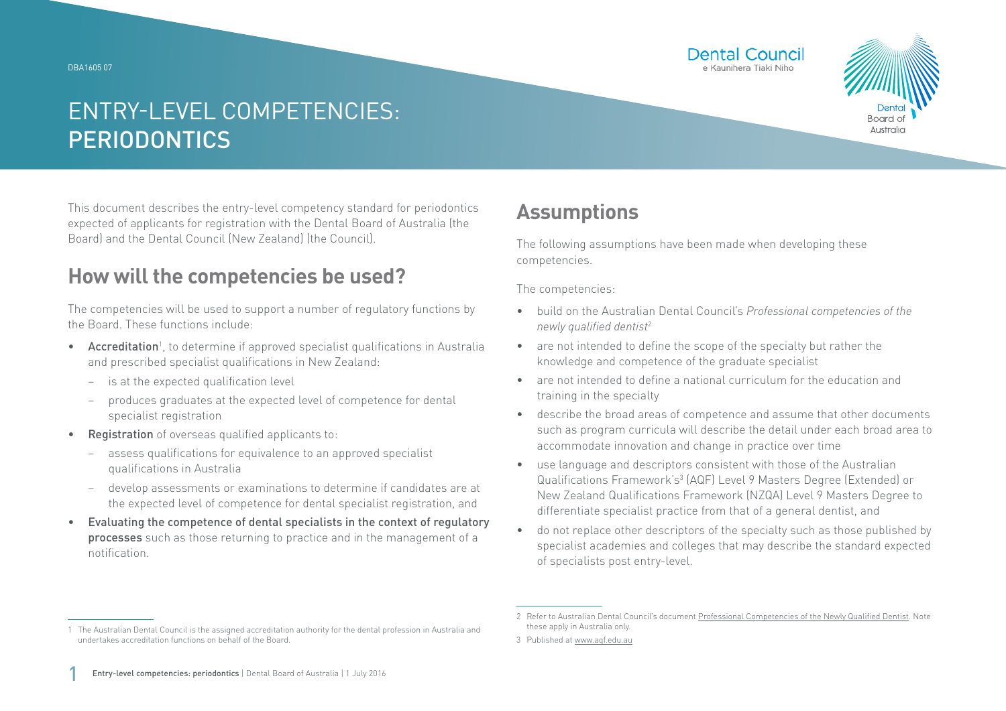DBA1605 07





# ENTRY-LEVEL COMPETENCIES: **PERIODONTICS**

This document describes the entry-level competency standard for periodontics expected of applicants for registration with the Dental Board of Australia (the Board) and the Dental Council (New Zealand) (the Council).

### **How will the competencies be used?**

The competencies will be used to support a number of regulatory functions by the Board. These functions include:

- Accreditation<sup>1</sup>, to determine if approved specialist qualifications in Australia and prescribed specialist qualifications in New Zealand:
	- − is at the expected qualification level
	- − produces graduates at the expected level of competence for dental specialist registration
- Registration of overseas qualified applicants to:
	- assess qualifications for equivalence to an approved specialist qualifications in Australia
	- − develop assessments or examinations to determine if candidates are at the expected level of competence for dental specialist registration, and
- Evaluating the competence of dental specialists in the context of regulatory processes such as those returning to practice and in the management of a notification.

## **Assumptions**

The following assumptions have been made when developing these competencies.

The competencies:

- build on the Australian Dental Council's *Professional competencies of the newly qualified dentist*<sup>2</sup>
- are not intended to define the scope of the specialty but rather the knowledge and competence of the graduate specialist
- are not intended to define a national curriculum for the education and training in the specialty
- describe the broad areas of competence and assume that other documents such as program curricula will describe the detail under each broad area to accommodate innovation and change in practice over time
- use language and descriptors consistent with those of the Australian Qualifications Framework's<sup>3</sup> (AQF) Level 9 Masters Degree (Extended) or New Zealand Qualifications Framework (NZQA) Level 9 Masters Degree to differentiate specialist practice from that of a general dentist, and
- do not replace other descriptors of the specialty such as those published by specialist academies and colleges that may describe the standard expected of specialists post entry-level.

<sup>1</sup> The Australian Dental Council is the assigned accreditation authority for the dental profession in Australia and undertakes accreditation functions on behalf of the Board.

<sup>2</sup> Refer to Australian Dental Council's document [Professional Competencies of the Newly Qualified Dentist.](http://Professional Competencies of the Newly Qualified Dentist) Note these apply in Australia only.

<sup>3</sup> Published at [www.aqf.edu.au](http://www.aqf.edu.au)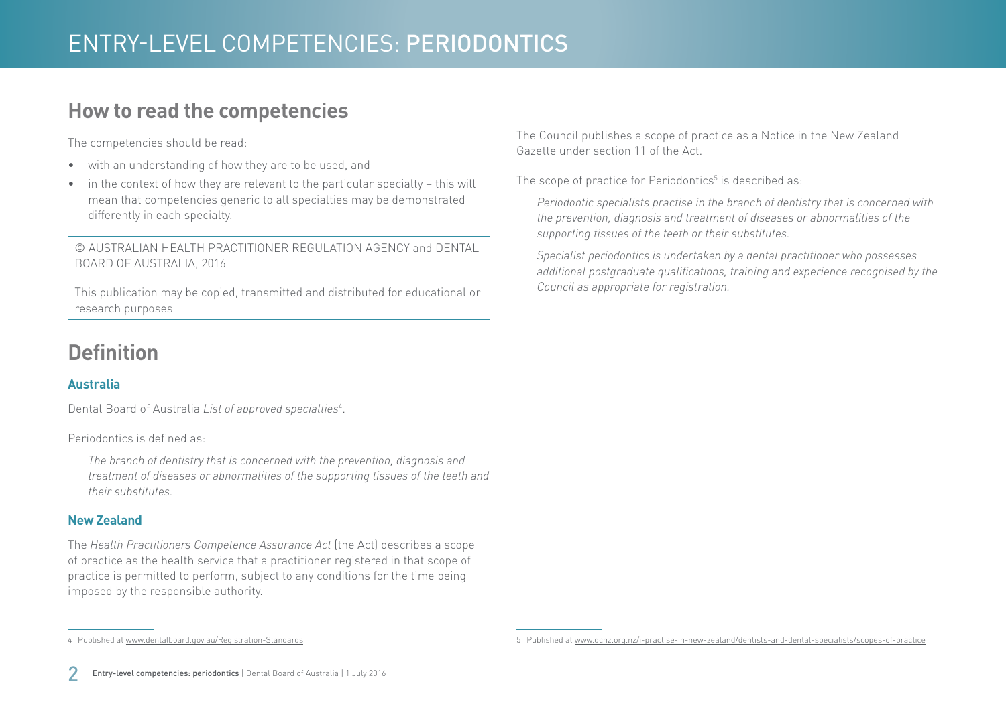### **How to read the competencies**

The competencies should be read:

- with an understanding of how they are to be used, and
- in the context of how they are relevant to the particular specialty this will mean that competencies generic to all specialties may be demonstrated differently in each specialty.

© AUSTRALIAN HEALTH PRACTITIONER REGULATION AGENCY and DENTAL BOARD OF AUSTRALIA, 2016

This publication may be copied, transmitted and distributed for educational or research purposes

## **Definition**

#### **Australia**

Dental Board of Australia *List of approved specialties*<sup>4</sup> .

Periodontics is defined as:

*The branch of dentistry that is concerned with the prevention, diagnosis and treatment of diseases or abnormalities of the supporting tissues of the teeth and their substitutes.*

#### **New Zealand**

The *Health Practitioners Competence Assurance Act* (the Act) describes a scope of practice as the health service that a practitioner registered in that scope of practice is permitted to perform, subject to any conditions for the time being imposed by the responsible authority.

The Council publishes a scope of practice as a Notice in the New Zealand Gazette under section 11 of the Act.

The scope of practice for Periodontics $^5$  is described as:

*Periodontic specialists practise in the branch of dentistry that is concerned with the prevention, diagnosis and treatment of diseases or abnormalities of the supporting tissues of the teeth or their substitutes.*

*Specialist periodontics is undertaken by a dental practitioner who possesses additional postgraduate qualifications, training and experience recognised by the Council as appropriate for registration.*

4 Published at [www.dentalboard.gov.au/Registration-Standards](http://www.dentalboard.gov.au/Registration-Standards.aspx)

<sup>5</sup> Published at [www.dcnz.org.nz/i-practise-in-new-zealand/dentists-and-dental-specialists/scopes-of-practice](http://www.dcnz.org.nz/i-practise-in-new-zealand/dentists-and-dental-specialists/scopes-of-practice)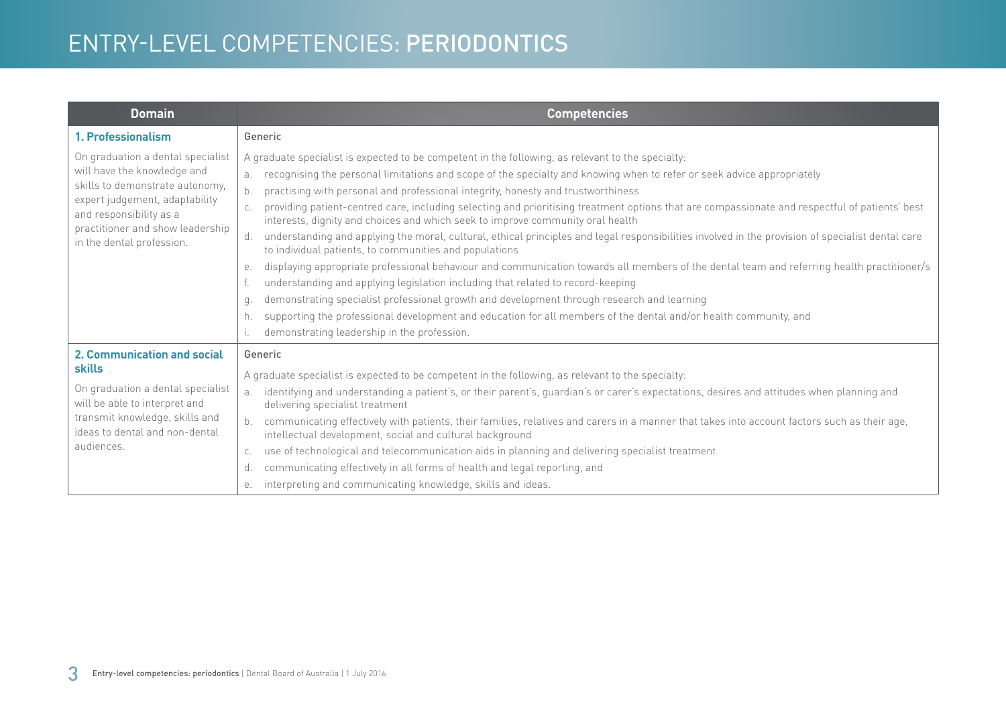## ENTRY-LEVEL COMPETENCIES: PERIODONTICS

| <b>Domain</b>                                                                                                                                                                                                                     | <b>Competencies</b>                                                                                                                                                                                                                                                                                                                                                                                                                                                                                                                                                                                                                                                                                                                                                                                                                                                                                                                                                                                                                                                                                                                                                                                                                                                                                         |
|-----------------------------------------------------------------------------------------------------------------------------------------------------------------------------------------------------------------------------------|-------------------------------------------------------------------------------------------------------------------------------------------------------------------------------------------------------------------------------------------------------------------------------------------------------------------------------------------------------------------------------------------------------------------------------------------------------------------------------------------------------------------------------------------------------------------------------------------------------------------------------------------------------------------------------------------------------------------------------------------------------------------------------------------------------------------------------------------------------------------------------------------------------------------------------------------------------------------------------------------------------------------------------------------------------------------------------------------------------------------------------------------------------------------------------------------------------------------------------------------------------------------------------------------------------------|
| 1. Professionalism                                                                                                                                                                                                                | Generic                                                                                                                                                                                                                                                                                                                                                                                                                                                                                                                                                                                                                                                                                                                                                                                                                                                                                                                                                                                                                                                                                                                                                                                                                                                                                                     |
| On graduation a dental specialist<br>will have the knowledge and<br>skills to demonstrate autonomy,<br>expert judgement, adaptability<br>and responsibility as a<br>practitioner and show leadership<br>in the dental profession. | A graduate specialist is expected to be competent in the following, as relevant to the specialty:<br>recognising the personal limitations and scope of the specialty and knowing when to refer or seek advice appropriately<br>a.<br>$b$ .<br>practising with personal and professional integrity, honesty and trustworthiness<br>providing patient-centred care, including selecting and prioritising treatment options that are compassionate and respectful of patients' best<br>interests, dignity and choices and which seek to improve community oral health<br>understanding and applying the moral, cultural, ethical principles and legal responsibilities involved in the provision of specialist dental care<br>d.<br>to individual patients, to communities and populations<br>displaying appropriate professional behaviour and communication towards all members of the dental team and referring health practitioner/s<br>е.<br>understanding and applying legislation including that related to record-keeping<br>demonstrating specialist professional growth and development through research and learning<br>q.<br>supporting the professional development and education for all members of the dental and/or health community, and<br>h.<br>demonstrating leadership in the profession. |
| <b>2. Communication and social</b><br><b>skills</b><br>On graduation a dental specialist<br>will be able to interpret and<br>transmit knowledge, skills and<br>ideas to dental and non-dental<br>audiences.                       | Generic<br>A graduate specialist is expected to be competent in the following, as relevant to the specialty:<br>identifying and understanding a patient's, or their parent's, guardian's or carer's expectations, desires and attitudes when planning and<br>a.<br>delivering specialist treatment<br>communicating effectively with patients, their families, relatives and carers in a manner that takes into account factors such as their age,<br>intellectual development, social and cultural background<br>use of technological and telecommunication aids in planning and delivering specialist treatment<br>C.<br>communicating effectively in all forms of health and legal reporting, and<br>d.<br>interpreting and communicating knowledge, skills and ideas.<br>е.                                                                                                                                                                                                                                                                                                                                                                                                                                                                                                                             |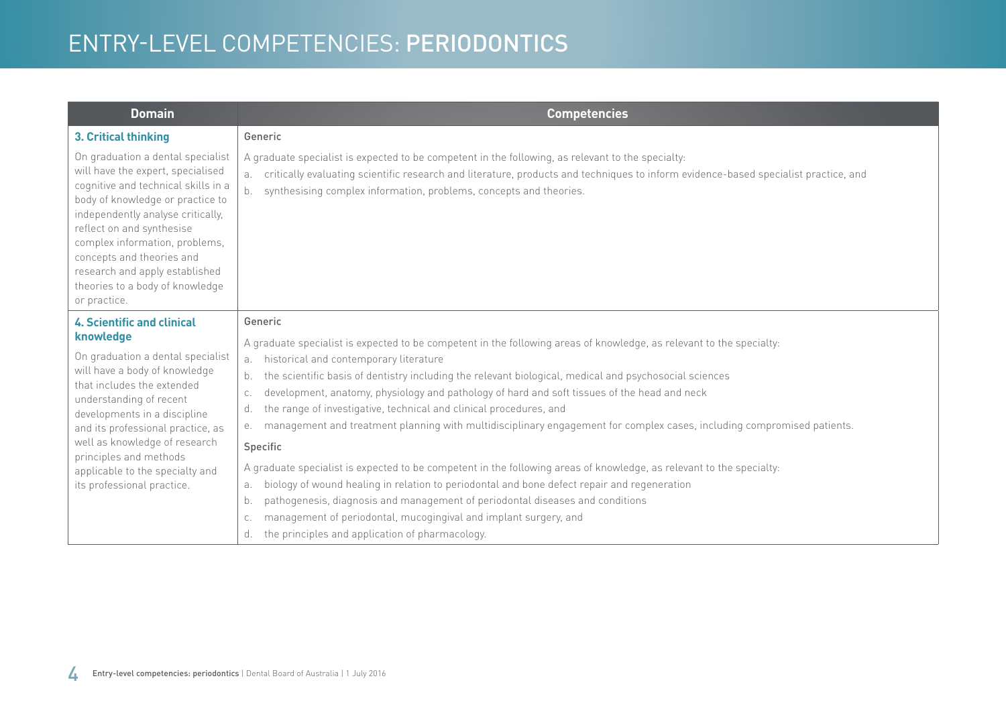# ENTRY-LEVEL COMPETENCIES: PERIODONTICS

| <b>Domain</b>                                                                                                                                                                                                                                                                                                                                                           | <b>Competencies</b>                                                                                                                                                                                                                                                                                                        |
|-------------------------------------------------------------------------------------------------------------------------------------------------------------------------------------------------------------------------------------------------------------------------------------------------------------------------------------------------------------------------|----------------------------------------------------------------------------------------------------------------------------------------------------------------------------------------------------------------------------------------------------------------------------------------------------------------------------|
| 3. Critical thinking                                                                                                                                                                                                                                                                                                                                                    | Generic                                                                                                                                                                                                                                                                                                                    |
| On graduation a dental specialist<br>will have the expert, specialised<br>cognitive and technical skills in a<br>body of knowledge or practice to<br>independently analyse critically,<br>reflect on and synthesise<br>complex information, problems,<br>concepts and theories and<br>research and apply established<br>theories to a body of knowledge<br>or practice. | A graduate specialist is expected to be competent in the following, as relevant to the specialty:<br>critically evaluating scientific research and literature, products and techniques to inform evidence-based specialist practice, and<br>a.<br>synthesising complex information, problems, concepts and theories.<br>b. |
| <b>4. Scientific and clinical</b>                                                                                                                                                                                                                                                                                                                                       | Generic                                                                                                                                                                                                                                                                                                                    |
| knowledge<br>On graduation a dental specialist<br>will have a body of knowledge<br>that includes the extended<br>understanding of recent<br>developments in a discipline<br>and its professional practice, as<br>well as knowledge of research<br>principles and methods<br>applicable to the specialty and<br>its professional practice.                               | A graduate specialist is expected to be competent in the following areas of knowledge, as relevant to the specialty:<br>historical and contemporary literature                                                                                                                                                             |
|                                                                                                                                                                                                                                                                                                                                                                         | the scientific basis of dentistry including the relevant biological, medical and psychosocial sciences<br>b.                                                                                                                                                                                                               |
|                                                                                                                                                                                                                                                                                                                                                                         | development, anatomy, physiology and pathology of hard and soft tissues of the head and neck<br>C.                                                                                                                                                                                                                         |
|                                                                                                                                                                                                                                                                                                                                                                         | the range of investigative, technical and clinical procedures, and<br>d.                                                                                                                                                                                                                                                   |
|                                                                                                                                                                                                                                                                                                                                                                         | management and treatment planning with multidisciplinary engagement for complex cases, including compromised patients.<br>е.                                                                                                                                                                                               |
|                                                                                                                                                                                                                                                                                                                                                                         | Specific                                                                                                                                                                                                                                                                                                                   |
|                                                                                                                                                                                                                                                                                                                                                                         | A graduate specialist is expected to be competent in the following areas of knowledge, as relevant to the specialty:                                                                                                                                                                                                       |
|                                                                                                                                                                                                                                                                                                                                                                         | biology of wound healing in relation to periodontal and bone defect repair and regeneration<br>а.                                                                                                                                                                                                                          |
|                                                                                                                                                                                                                                                                                                                                                                         | pathogenesis, diagnosis and management of periodontal diseases and conditions<br>b.                                                                                                                                                                                                                                        |
|                                                                                                                                                                                                                                                                                                                                                                         | management of periodontal, mucogingival and implant surgery, and<br>C.                                                                                                                                                                                                                                                     |
|                                                                                                                                                                                                                                                                                                                                                                         | the principles and application of pharmacology.<br>d.                                                                                                                                                                                                                                                                      |